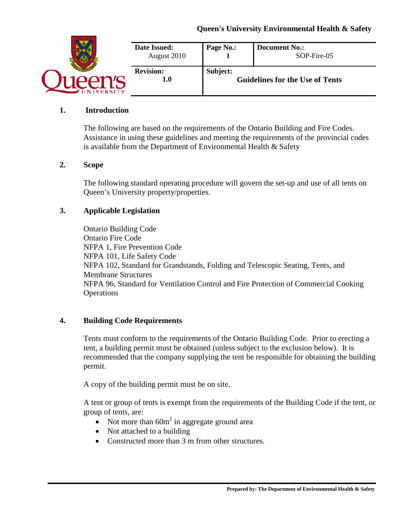

### **1. Introduction**

The following are based on the requirements of the Ontario Building and Fire Codes. Assistance in using these guidelines and meeting the requirements of the provincial codes is available from the Department of Environmental Health & Safety

#### **2. Scope**

The following standard operating procedure will govern the set-up and use of all tents on Queen's University property/properties.

#### **3. Applicable Legislation**

Ontario Building Code Ontario Fire Code NFPA 1, Fire Prevention Code NFPA 101, Life Safety Code NFPA 102, Standard for Grandstands, Folding and Telescopic Seating, Tents, and Membrane Structures NFPA 96, Standard for Ventilation Control and Fire Protection of Commercial Cooking **Operations** 

#### **4. Building Code Requirements**

Tents must conform to the requirements of the Ontario Building Code. Prior to erecting a tent, a building permit must be obtained (unless subject to the exclusion below). It is recommended that the company supplying the tent be responsible for obtaining the building permit.

A copy of the building permit must be on site.

A tent or group of tents is exempt from the requirements of the Building Code if the tent, or group of tents, are:

- Not more than  $60m^2$  in aggregate ground area
- Not attached to a building
- Constructed more than 3 m from other structures.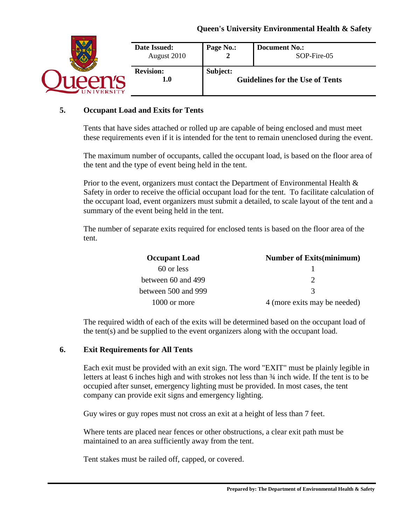|                | Date Issued:<br>August 2010 | Page No.:                                          | <b>Document No.:</b><br>SOP-Fire-05 |
|----------------|-----------------------------|----------------------------------------------------|-------------------------------------|
| <b>VERSITY</b> | <b>Revision:</b><br>1.0     | Subject:<br><b>Guidelines for the Use of Tents</b> |                                     |

#### **5. Occupant Load and Exits for Tents**

Tents that have sides attached or rolled up are capable of being enclosed and must meet these requirements even if it is intended for the tent to remain unenclosed during the event.

The maximum number of occupants, called the occupant load, is based on the floor area of the tent and the type of event being held in the tent.

Prior to the event, organizers must contact the Department of Environmental Health & Safety in order to receive the official occupant load for the tent. To facilitate calculation of the occupant load, event organizers must submit a detailed, to scale layout of the tent and a summary of the event being held in the tent.

The number of separate exits required for enclosed tents is based on the floor area of the tent.

| <b>Occupant Load</b>   | <b>Number of Exits (minimum)</b> |  |  |
|------------------------|----------------------------------|--|--|
| 60 or less             |                                  |  |  |
| between $60$ and $499$ |                                  |  |  |
| between 500 and 999    | $\mathcal{R}$                    |  |  |
| 1000 or more           | 4 (more exits may be needed)     |  |  |

The required width of each of the exits will be determined based on the occupant load of the tent(s) and be supplied to the event organizers along with the occupant load.

#### **6. Exit Requirements for All Tents**

Each exit must be provided with an exit sign. The word "EXIT" must be plainly legible in letters at least 6 inches high and with strokes not less than ¾ inch wide. If the tent is to be occupied after sunset, emergency lighting must be provided. In most cases, the tent company can provide exit signs and emergency lighting.

Guy wires or guy ropes must not cross an exit at a height of less than 7 feet.

Where tents are placed near fences or other obstructions, a clear exit path must be maintained to an area sufficiently away from the tent.

Tent stakes must be railed off, capped, or covered.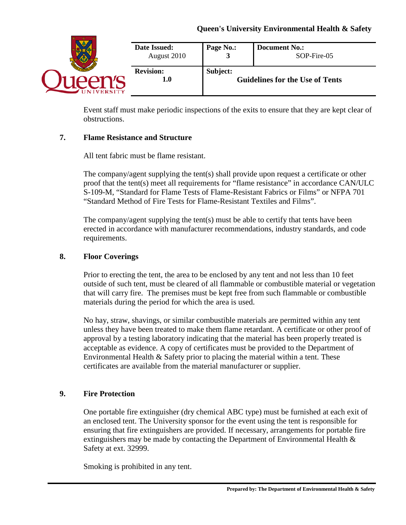

Event staff must make periodic inspections of the exits to ensure that they are kept clear of obstructions.

# **7. Flame Resistance and Structure**

All tent fabric must be flame resistant.

The company/agent supplying the tent(s) shall provide upon request a certificate or other proof that the tent(s) meet all requirements for "flame resistance" in accordance CAN/ULC S-109-M, "Standard for Flame Tests of Flame-Resistant Fabrics or Films" or NFPA 701 "Standard Method of Fire Tests for Flame-Resistant Textiles and Films".

The company/agent supplying the tent(s) must be able to certify that tents have been erected in accordance with manufacturer recommendations, industry standards, and code requirements.

# **8. Floor Coverings**

Prior to erecting the tent, the area to be enclosed by any tent and not less than 10 feet outside of such tent, must be cleared of all flammable or combustible material or vegetation that will carry fire. The premises must be kept free from such flammable or combustible materials during the period for which the area is used.

No hay, straw, shavings, or similar combustible materials are permitted within any tent unless they have been treated to make them flame retardant. A certificate or other proof of approval by a testing laboratory indicating that the material has been properly treated is acceptable as evidence. A copy of certificates must be provided to the Department of Environmental Health & Safety prior to placing the material within a tent. These certificates are available from the material manufacturer or supplier.

# **9. Fire Protection**

One portable fire extinguisher (dry chemical ABC type) must be furnished at each exit of an enclosed tent. The University sponsor for the event using the tent is responsible for ensuring that fire extinguishers are provided. If necessary, arrangements for portable fire extinguishers may be made by contacting the Department of Environmental Health  $\&$ Safety at ext. 32999.

Smoking is prohibited in any tent.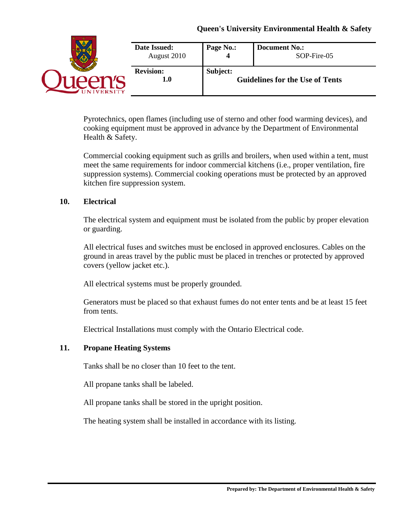|                | Date Issued:<br>August 2010 | Page No.:                                          | <b>Document No.:</b><br>SOP-Fire-05 |
|----------------|-----------------------------|----------------------------------------------------|-------------------------------------|
| <b>JERSITY</b> | <b>Revision:</b><br>1.0     | Subject:<br><b>Guidelines for the Use of Tents</b> |                                     |

Pyrotechnics, open flames (including use of sterno and other food warming devices), and cooking equipment must be approved in advance by the Department of Environmental Health & Safety.

Commercial cooking equipment such as grills and broilers, when used within a tent, must meet the same requirements for indoor commercial kitchens (i.e., proper ventilation, fire suppression systems). Commercial cooking operations must be protected by an approved kitchen fire suppression system.

# **10. Electrical**

The electrical system and equipment must be isolated from the public by proper elevation or guarding.

All electrical fuses and switches must be enclosed in approved enclosures. Cables on the ground in areas travel by the public must be placed in trenches or protected by approved covers (yellow jacket etc.).

All electrical systems must be properly grounded.

Generators must be placed so that exhaust fumes do not enter tents and be at least 15 feet from tents.

Electrical Installations must comply with the Ontario Electrical code.

# **11. Propane Heating Systems**

Tanks shall be no closer than 10 feet to the tent.

All propane tanks shall be labeled.

All propane tanks shall be stored in the upright position.

The heating system shall be installed in accordance with its listing.